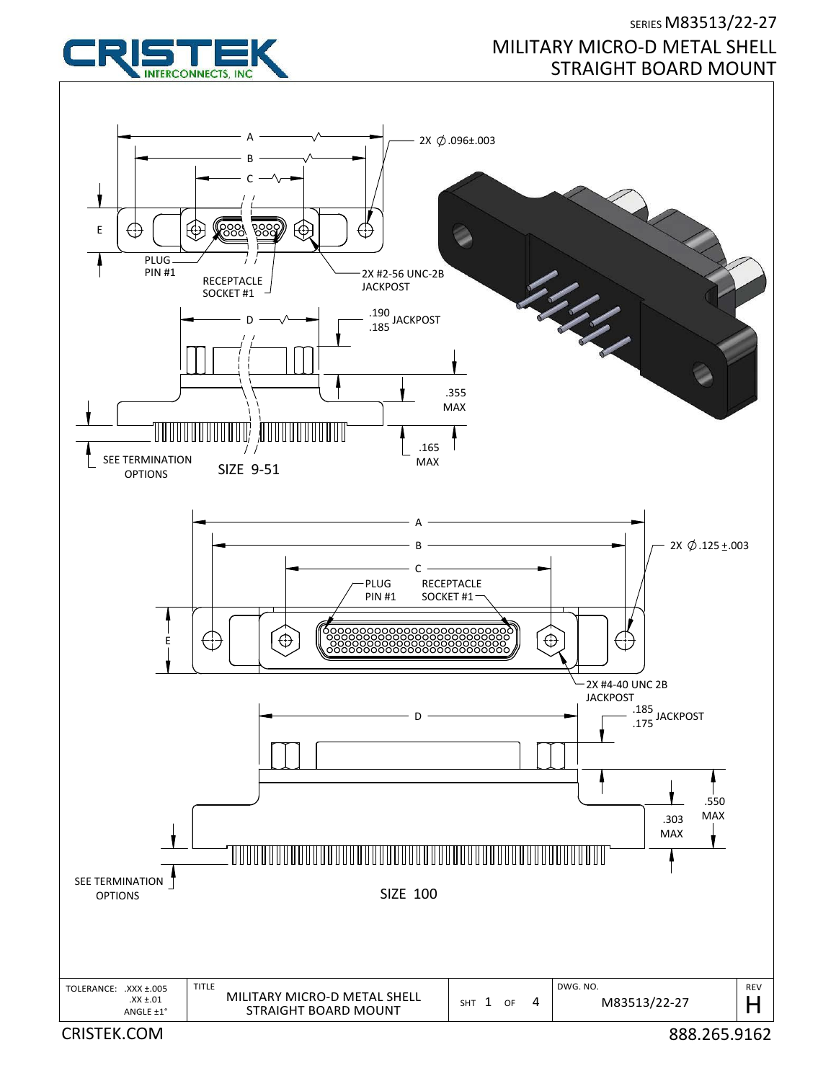

## SERIES M83513/22‐27 MILITARY MICRO‐D METAL SHELL STRAIGHT BOARD MOUNT

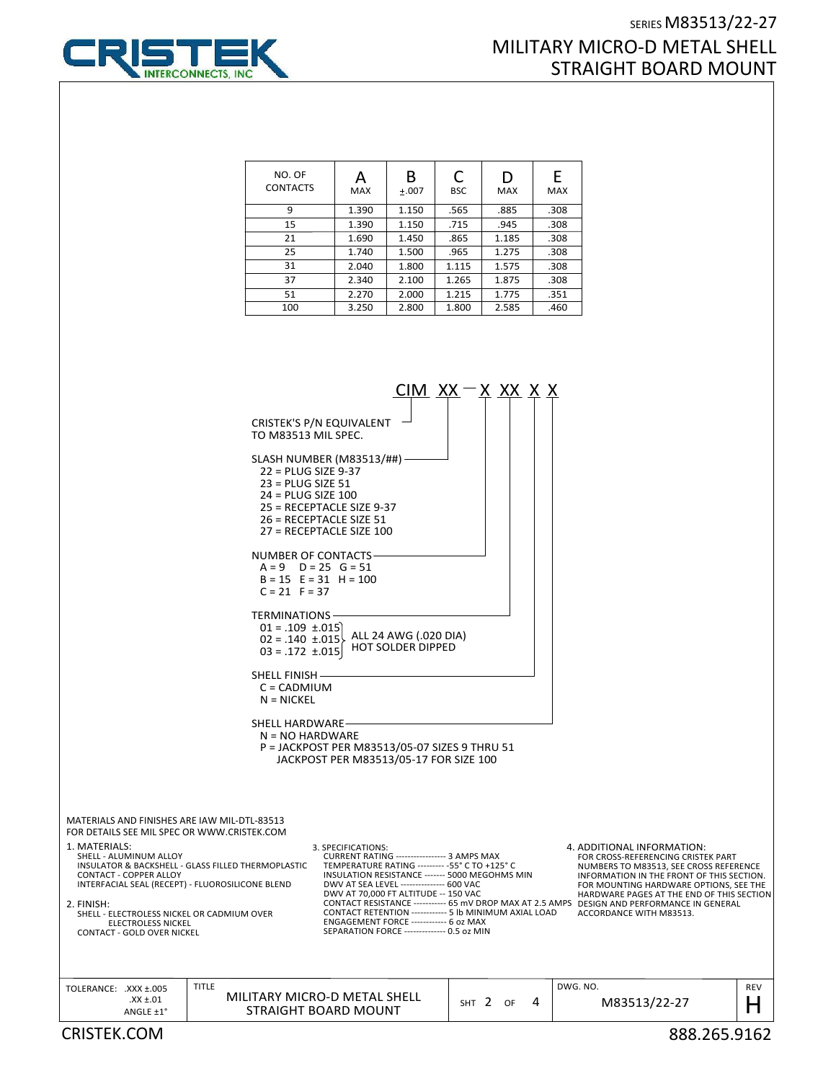



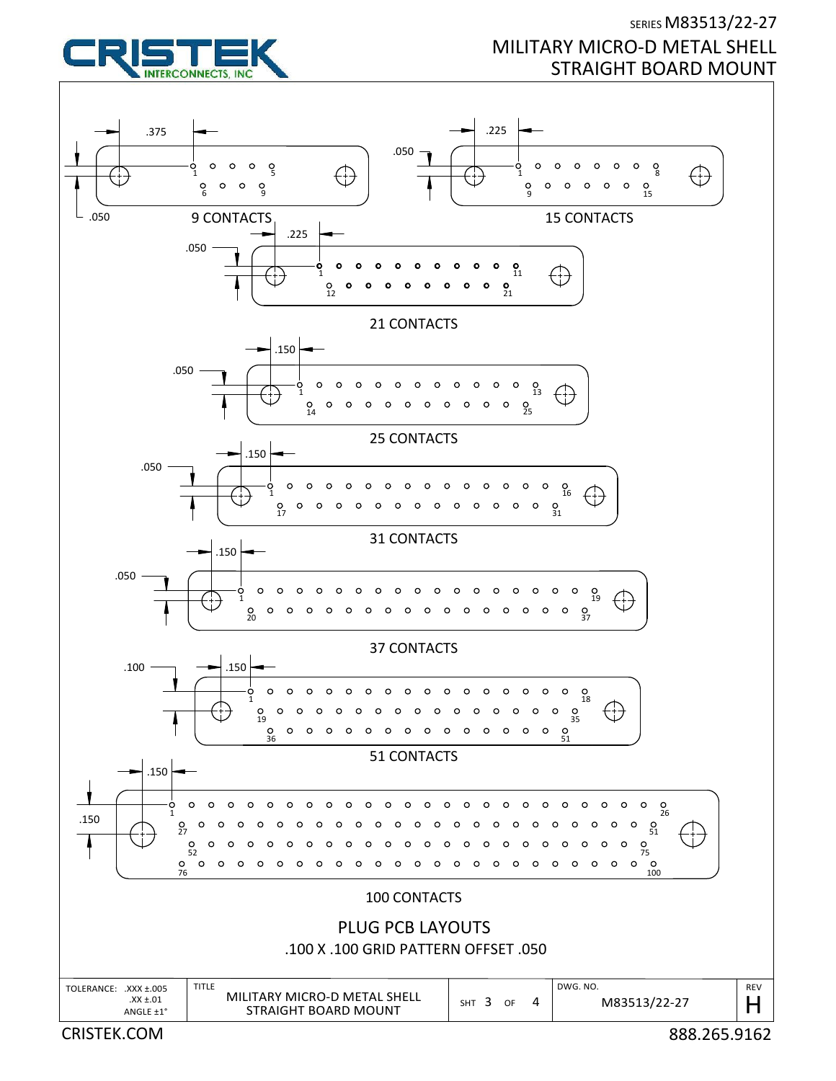